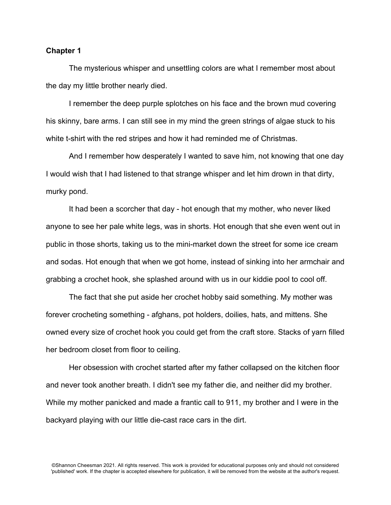## **Chapter 1**

The mysterious whisper and unsettling colors are what I remember most about the day my little brother nearly died.

I remember the deep purple splotches on his face and the brown mud covering his skinny, bare arms. I can still see in my mind the green strings of algae stuck to his white t-shirt with the red stripes and how it had reminded me of Christmas.

And I remember how desperately I wanted to save him, not knowing that one day I would wish that I had listened to that strange whisper and let him drown in that dirty, murky pond.

It had been a scorcher that day - hot enough that my mother, who never liked anyone to see her pale white legs, was in shorts. Hot enough that she even went out in public in those shorts, taking us to the mini-market down the street for some ice cream and sodas. Hot enough that when we got home, instead of sinking into her armchair and grabbing a crochet hook, she splashed around with us in our kiddie pool to cool off.

The fact that she put aside her crochet hobby said something. My mother was forever crocheting something - afghans, pot holders, doilies, hats, and mittens. She owned every size of crochet hook you could get from the craft store. Stacks of yarn filled her bedroom closet from floor to ceiling.

Her obsession with crochet started after my father collapsed on the kitchen floor and never took another breath. I didn't see my father die, and neither did my brother. While my mother panicked and made a frantic call to 911, my brother and I were in the backyard playing with our little die-cast race cars in the dirt.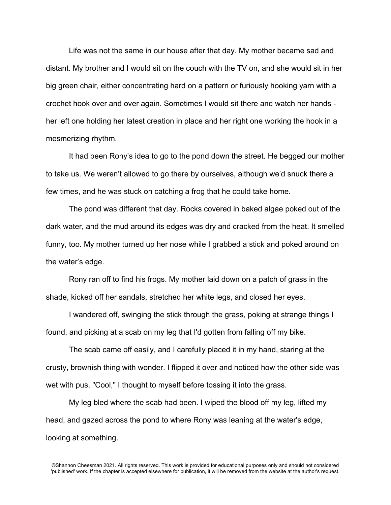Life was not the same in our house after that day. My mother became sad and distant. My brother and I would sit on the couch with the TV on, and she would sit in her big green chair, either concentrating hard on a pattern or furiously hooking yarn with a crochet hook over and over again. Sometimes I would sit there and watch her hands her left one holding her latest creation in place and her right one working the hook in a mesmerizing rhythm.

It had been Rony's idea to go to the pond down the street. He begged our mother to take us. We weren't allowed to go there by ourselves, although we'd snuck there a few times, and he was stuck on catching a frog that he could take home.

The pond was different that day. Rocks covered in baked algae poked out of the dark water, and the mud around its edges was dry and cracked from the heat. It smelled funny, too. My mother turned up her nose while I grabbed a stick and poked around on the water's edge.

Rony ran off to find his frogs. My mother laid down on a patch of grass in the shade, kicked off her sandals, stretched her white legs, and closed her eyes.

I wandered off, swinging the stick through the grass, poking at strange things I found, and picking at a scab on my leg that I'd gotten from falling off my bike.

The scab came off easily, and I carefully placed it in my hand, staring at the crusty, brownish thing with wonder. I flipped it over and noticed how the other side was wet with pus. "Cool," I thought to myself before tossing it into the grass.

My leg bled where the scab had been. I wiped the blood off my leg, lifted my head, and gazed across the pond to where Rony was leaning at the water's edge, looking at something.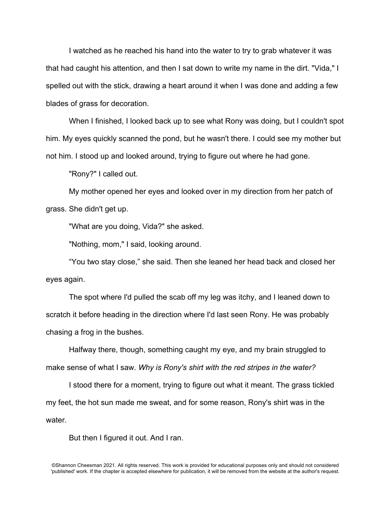I watched as he reached his hand into the water to try to grab whatever it was that had caught his attention, and then I sat down to write my name in the dirt. "Vida," I spelled out with the stick, drawing a heart around it when I was done and adding a few blades of grass for decoration.

When I finished, I looked back up to see what Rony was doing, but I couldn't spot him. My eyes quickly scanned the pond, but he wasn't there. I could see my mother but not him. I stood up and looked around, trying to figure out where he had gone.

"Rony?" I called out.

My mother opened her eyes and looked over in my direction from her patch of grass. She didn't get up.

"What are you doing, Vida?" she asked.

"Nothing, mom," I said, looking around.

"You two stay close," she said. Then she leaned her head back and closed her eyes again.

The spot where I'd pulled the scab off my leg was itchy, and I leaned down to scratch it before heading in the direction where I'd last seen Rony. He was probably chasing a frog in the bushes.

Halfway there, though, something caught my eye, and my brain struggled to make sense of what I saw. *Why is Rony's shirt with the red stripes in the water?*

I stood there for a moment, trying to figure out what it meant. The grass tickled my feet, the hot sun made me sweat, and for some reason, Rony's shirt was in the water.

But then I figured it out. And I ran.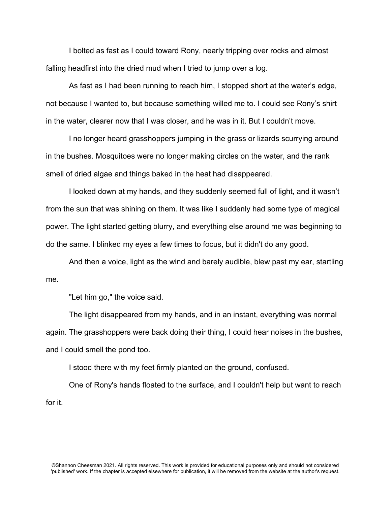I bolted as fast as I could toward Rony, nearly tripping over rocks and almost falling headfirst into the dried mud when I tried to jump over a log.

As fast as I had been running to reach him, I stopped short at the water's edge, not because I wanted to, but because something willed me to. I could see Rony's shirt in the water, clearer now that I was closer, and he was in it. But I couldn't move.

I no longer heard grasshoppers jumping in the grass or lizards scurrying around in the bushes. Mosquitoes were no longer making circles on the water, and the rank smell of dried algae and things baked in the heat had disappeared.

I looked down at my hands, and they suddenly seemed full of light, and it wasn't from the sun that was shining on them. It was like I suddenly had some type of magical power. The light started getting blurry, and everything else around me was beginning to do the same. I blinked my eyes a few times to focus, but it didn't do any good.

And then a voice, light as the wind and barely audible, blew past my ear, startling me.

"Let him go," the voice said.

The light disappeared from my hands, and in an instant, everything was normal again. The grasshoppers were back doing their thing, I could hear noises in the bushes, and I could smell the pond too.

I stood there with my feet firmly planted on the ground, confused.

One of Rony's hands floated to the surface, and I couldn't help but want to reach for it.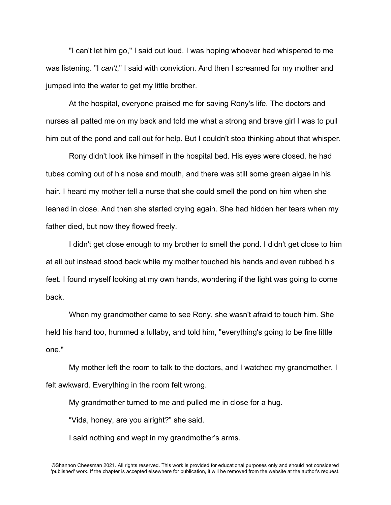"I can't let him go," I said out loud. I was hoping whoever had whispered to me was listening. "I *can't*," I said with conviction. And then I screamed for my mother and jumped into the water to get my little brother.

At the hospital, everyone praised me for saving Rony's life. The doctors and nurses all patted me on my back and told me what a strong and brave girl I was to pull him out of the pond and call out for help. But I couldn't stop thinking about that whisper.

Rony didn't look like himself in the hospital bed. His eyes were closed, he had tubes coming out of his nose and mouth, and there was still some green algae in his hair. I heard my mother tell a nurse that she could smell the pond on him when she leaned in close. And then she started crying again. She had hidden her tears when my father died, but now they flowed freely.

I didn't get close enough to my brother to smell the pond. I didn't get close to him at all but instead stood back while my mother touched his hands and even rubbed his feet. I found myself looking at my own hands, wondering if the light was going to come back.

When my grandmother came to see Rony, she wasn't afraid to touch him. She held his hand too, hummed a lullaby, and told him, "everything's going to be fine little one."

My mother left the room to talk to the doctors, and I watched my grandmother. I felt awkward. Everything in the room felt wrong.

My grandmother turned to me and pulled me in close for a hug.

"Vida, honey, are you alright?" she said.

I said nothing and wept in my grandmother's arms.